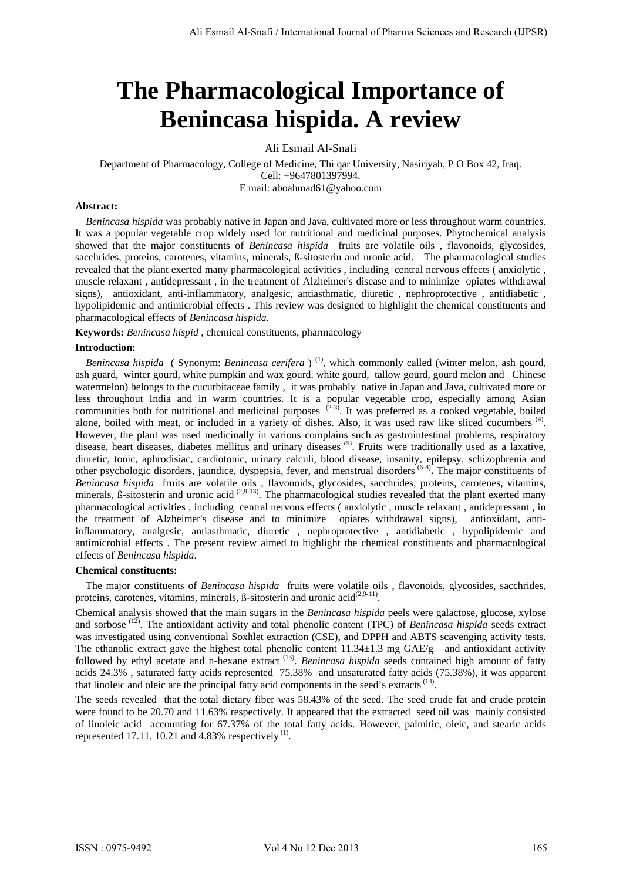# **The Pharmacological Importance of Benincasa hispida. A review**

Ali Esmail Al-Snafi

Department of Pharmacology, College of Medicine, Thi qar University, Nasiriyah, P O Box 42, Iraq. Cell: +9647801397994. E mail: aboahmad61@yahoo.com

### **Abstract:**

 *Benincasa hispida* was probably native in Japan and Java, cultivated more or less throughout warm countries. It was a popular vegetable crop widely used for nutritional and medicinal purposes. Phytochemical analysis showed that the major constituents of *Benincasa hispida* fruits are volatile oils , flavonoids, glycosides, sacchrides, proteins, carotenes, vitamins, minerals, ß-sitosterin and uronic acid. The pharmacological studies revealed that the plant exerted many pharmacological activities , including central nervous effects ( anxiolytic , muscle relaxant , antidepressant , in the treatment of Alzheimer's disease and to minimize opiates withdrawal signs), antioxidant, anti-inflammatory, analgesic, antiasthmatic, diuretic , nephroprotective , antidiabetic , hypolipidemic and antimicrobial effects . This review was designed to highlight the chemical constituents and pharmacological effects of *Benincasa hispida*.

**Keywords:** *Benincasa hispid* , chemical constituents, pharmacology

### **Introduction:**

*Benincasa hispida* ( Synonym: *Benincasa cerifera* )<sup>(1)</sup>, which commonly called (winter melon, ash gourd, ash guard, winter gourd, white pumpkin and wax gourd. white gourd, tallow gourd, gourd melon and Chinese watermelon) belongs to the cucurbitaceae family , it was probably native in Japan and Java, cultivated more or less throughout India and in warm countries. It is a popular vegetable crop, especially among Asian communities both for nutritional and medicinal purposes  $(2-3)$ . It was preferred as a cooked vegetable, boiled alone, boiled with meat, or included in a variety of dishes. Also, it was used raw like sliced cucumbers  $(4)$ . However, the plant was used medicinally in various complains such as gastrointestinal problems, respiratory disease, heart diseases, diabetes mellitus and urinary diseases <sup>(5)</sup>. Fruits were traditionally used as a laxative, diuretic, tonic, aphrodisiac, cardiotonic, urinary calculi, blood disease, insanity, epilepsy, schizophrenia and other psychologic disorders, jaundice, dyspepsia, fever, and menstrual disorders (6-8)**.** The major constituents of *Benincasa hispida* fruits are volatile oils , flavonoids, glycosides, sacchrides, proteins, carotenes, vitamins, minerals,  $\beta$ -sitosterin and uronic acid  $(2,9-13)$ . The pharmacological studies revealed that the plant exerted many pharmacological activities , including central nervous effects ( anxiolytic , muscle relaxant , antidepressant , in the treatment of Alzheimer's disease and to minimize opiates withdrawal signs), antioxidant, antiinflammatory, analgesic, antiasthmatic, diuretic , nephroprotective , antidiabetic , hypolipidemic and antimicrobial effects . The present review aimed to highlight the chemical constituents and pharmacological effects of *Benincasa hispida*.

## **Chemical constituents:**

 The major constituents of *Benincasa hispida* fruits were volatile oils , flavonoids, glycosides, sacchrides, proteins, carotenes, vitamins, minerals,  $\beta$ -sitosterin and uronic acid<sup>(2,9-11)</sup>.

Chemical analysis showed that the main sugars in the *Benincasa hispida* peels were galactose, glucose, xylose and sorbose<sup>(12)</sup>. The antioxidant activity and total phenolic content (TPC) of *Benincasa hispida* seeds extract was investigated using conventional Soxhlet extraction (CSE), and DPPH and ABTS scavenging activity tests. The ethanolic extract gave the highest total phenolic content 11.34±1.3 mg GAE/g and antioxidant activity followed by ethyl acetate and n-hexane extract <sup>(13)</sup>. *Benincasa hispida* seeds contained high amount of fatty acids 24.3% , saturated fatty acids represented 75.38% and unsaturated fatty acids (75.38%), it was apparent that linoleic and oleic are the principal fatty acid components in the seed's extracts<sup>(13)</sup>.

The seeds revealed that the total dietary fiber was 58.43% of the seed. The seed crude fat and crude protein were found to be 20.70 and 11.63% respectively. It appeared that the extracted seed oil was mainly consisted of linoleic acid accounting for 67.37% of the total fatty acids. However, palmitic, oleic, and stearic acids represented 17.11, 10.21 and 4.83% respectively<sup>(1)</sup>.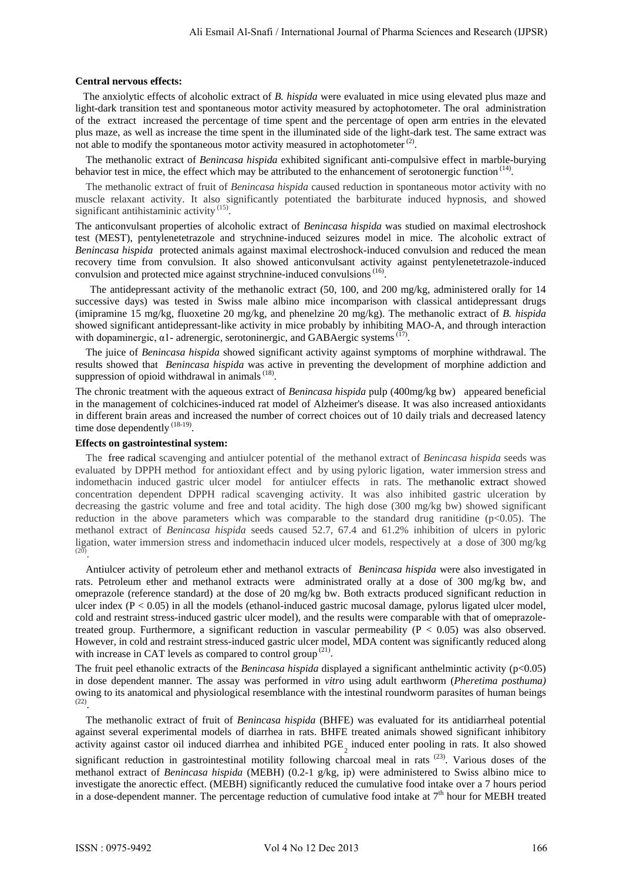#### **Central nervous effects:**

 The anxiolytic effects of alcoholic extract of *B. hispida* were evaluated in mice using elevated plus maze and light-dark transition test and spontaneous motor activity measured by actophotometer. The oral administration of the extract increased the percentage of time spent and the percentage of open arm entries in the elevated plus maze, as well as increase the time spent in the illuminated side of the light-dark test. The same extract was not able to modify the spontaneous motor activity measured in actophotometer<sup>(2)</sup>.

 The methanolic extract of *Benincasa hispida* exhibited significant anti-compulsive effect in marble-burying behavior test in mice, the effect which may be attributed to the enhancement of serotonergic function<sup>(14)</sup>.

 The methanolic extract of fruit of *Benincasa hispida* caused reduction in spontaneous motor activity with no muscle relaxant activity. It also significantly potentiated the barbiturate induced hypnosis, and showed significant antihistaminic activity<sup>(15)</sup>.

The anticonvulsant properties of alcoholic extract of *Benincasa hispida* was studied on maximal electroshock test (MEST), pentylenetetrazole and strychnine-induced seizures model in mice. The alcoholic extract of *Benincasa hispida* protected animals against maximal electroshock-induced convulsion and reduced the mean recovery time from convulsion. It also showed anticonvulsant activity against pentylenetetrazole-induced convulsion and protected mice against strychnine-induced convulsions<sup>(16)</sup>.

The antidepressant activity of the methanolic extract (50, 100, and 200 mg/kg, administered orally for 14 successive days) was tested in Swiss male albino mice incomparison with classical antidepressant drugs (imipramine 15 mg/kg, fluoxetine 20 mg/kg, and phenelzine 20 mg/kg). The methanolic extract of *B. hispida* showed significant antidepressant-like activity in mice probably by inhibiting MAO-A, and through interaction with dopaminergic, α1- adrenergic, serotoninergic, and GABAergic systems<sup>(17)</sup>.

 The juice of *Benincasa hispida* showed significant activity against symptoms of morphine withdrawal. The results showed that *Benincasa hispida* was active in preventing the development of morphine addiction and suppression of opioid withdrawal in animals<sup>(18)</sup>.

The chronic treatment with the aqueous extract of *Benincasa hispida* pulp (400mg/kg bw) appeared beneficial in the management of colchicines-induced rat model of Alzheimer's disease. It was also increased antioxidants in different brain areas and increased the number of correct choices out of 10 daily trials and decreased latency time dose dependently<sup>(18-19)</sup>.

### **Effects on gastrointestinal system:**

 The [free radical](http://www.scialert.net/asci/result.php?searchin=Keywords&cat=&ascicat=ALL&Submit=Search&keyword=free+radical) scavenging and antiulcer potential of the methanol extract of *Benincasa hispida* seeds was evaluated by DPPH method for antioxidant effect and by using pyloric ligation, water immersion stress and indomethacin induced gastric ulcer model for antiulcer effects in rats. The [methanolic extract](http://www.scialert.net/asci/result.php?searchin=Keywords&cat=&ascicat=ALL&Submit=Search&keyword=ethanolic+extract) showed concentration dependent DPPH radical scavenging activity. It was also inhibited gastric ulceration by decreasing the gastric volume and free and total acidity. The high dose (300 mg/kg bw) showed significant reduction in the above parameters which was comparable to the standard drug ranitidine  $(p<0.05)$ . The methanol extract of *Benincasa hispida* seeds caused 52.7, 67.4 and 61.2% inhibition of ulcers in pyloric ligation, water immersion stress and indomethacin induced ulcer models, respectively at a dose of 300 mg/kg  $(20)$ *P*.

 Antiulcer activity of petroleum ether and methanol extracts of *Benincasa hispida* were also investigated in rats. Petroleum ether and methanol extracts were administrated orally at a dose of 300 mg/kg bw, and omeprazole (reference standard) at the dose of 20 mg/kg bw. Both extracts produced significant reduction in ulcer index  $(P < 0.05)$  in all the models (ethanol-induced gastric mucosal damage, pylorus ligated ulcer model, cold and restraint stress-induced gastric ulcer model), and the results were comparable with that of omeprazoletreated group. Furthermore, a significant reduction in vascular permeability ( $P < 0.05$ ) was also observed. However, in cold and restraint stress-induced gastric ulcer model, MDA content was significantly reduced along with increase in CAT levels as compared to control group<sup>(21)</sup>.

The fruit peel ethanolic extracts of the *Benincasa hispida* displayed a significant anthelmintic activity (p<0.05) in dose dependent manner. The assay was performed in *vitro* using adult earthworm (*Pheretima posthuma)*  owing to its anatomical and physiological resemblance with the intestinal roundworm parasites of human beings<sup>p</sup>  $\frac{(22)}{P}$ 

 The methanolic extract of fruit of *Benincasa hispida* (BHFE) was evaluated for its antidiarrheal potential against several experimental models of diarrhea in rats. BHFE treated animals showed significant inhibitory activity against castor oil induced diarrhea and inhibited PGE<sub>2</sub> induced enter pooling in rats. It also showed

significant reduction in gastrointestinal motility following charcoal meal in rats<sup>(23)</sup>. Various doses of the methanol extract of *Benincasa hispida* (MEBH) (0.2-1 g/kg, ip) were administered to Swiss albino mice to investigate the anorectic effect. (MEBH) significantly reduced the cumulative food intake over a 7 hours period in a dose-dependent manner. The percentage reduction of cumulative food intake at 7<sup>th</sup> hour for MEBH treated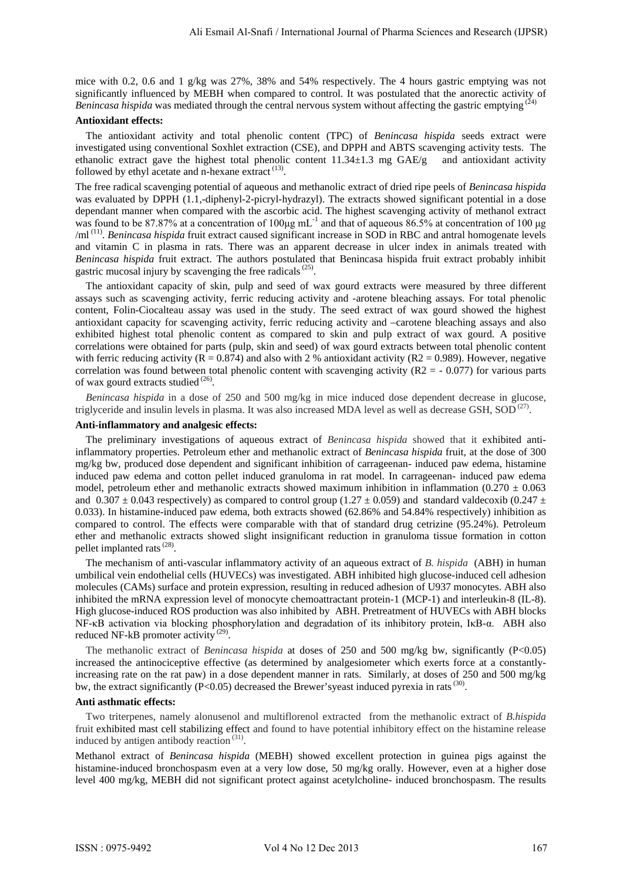mice with 0.2, 0.6 and 1 g/kg was 27%, 38% and 54% respectively. The 4 hours gastric emptying was not significantly influenced by MEBH when compared to control. It was postulated that the anorectic activity of *Benincasa hispida* was mediated through the central nervous system without affecting the gastric emptying  $\alpha$ 

## **Antioxidant effects:**

 The antioxidant activity and total phenolic content (TPC) of *Benincasa hispida* seeds extract were investigated using conventional Soxhlet extraction (CSE), and DPPH and ABTS scavenging activity tests. The ethanolic extract gave the highest total phenolic content  $11.34\pm1.3$  mg GAE/g and antioxidant activity followed by ethyl acetate and n-hexane extract<sup>(13)</sup>.

The free radical scavenging potential of aqueous and methanolic extract of dried ripe peels of *Benincasa hispida*  was evaluated by DPPH (1.1,-diphenyl-2-picryl-hydrazyl). The extracts showed significant potential in a dose dependant manner when compared with the ascorbic acid. The highest scavenging activity of methanol extract was found to be 87.87% at a concentration of 100μg mL<sup>-1</sup> and that of aqueous 86.5% at concentration of 100 μg /ml<sup>(11)</sup>. *Benincasa hispida* fruit extract caused significant increase in SOD in RBC and antral homogenate levels and vitamin C in plasma in rats. There was an apparent decrease in ulcer index in animals treated with *Benincasa hispida* fruit extract. The authors postulated that Benincasa hispida fruit extract probably inhibit gastric mucosal injury by scavenging the free radicals<sup>(25)</sup>.

 The antioxidant capacity of skin, pulp and seed of wax gourd extracts were measured by three different assays such as scavenging activity, ferric reducing activity and -arotene bleaching assays. For total phenolic content, Folin-Ciocalteau assay was used in the study. The seed extract of wax gourd showed the highest antioxidant capacity for scavenging activity, ferric reducing activity and –carotene bleaching assays and also exhibited highest total phenolic content as compared to skin and pulp extract of wax gourd. A positive correlations were obtained for parts (pulp, skin and seed) of wax gourd extracts between total phenolic content with ferric reducing activity ( $R = 0.874$ ) and also with 2 % antioxidant activity ( $R2 = 0.989$ ). However, negative correlation was found between total phenolic content with scavenging activity  $(R2 = -0.077)$  for various parts of wax gourd extracts studied<sup>(26)</sup>.

 *Benincasa hispida* in a dose of 250 and 500 mg/kg in mice induced dose dependent decrease in glucose, triglyceride and insulin levels in plasma. It was also increased MDA level as well as decrease GSH, SOD<sup>(27)</sup>.

#### **Anti-inflammatory and analgesic effects:**

The preliminary investigations of aqueous extract of *Benincasa hispida* showed that it exhibited antiinflammatory properties. Petroleum ether and methanolic extract of *Benincasa hispida* fruit, at the dose of 300 mg/kg bw, produced dose dependent and significant inhibition of carrageenan- induced paw edema, histamine induced paw edema and cotton pellet induced granuloma in rat model. In carrageenan- induced paw edema model, petroleum ether and methanolic extracts showed maximum inhibition in inflammation  $(0.270 \pm 0.063)$ and  $0.307 \pm 0.043$  respectively) as compared to control group (1.27  $\pm$  0.059) and standard valdecoxib (0.247  $\pm$ 0.033). In histamine-induced paw edema, both extracts showed (62.86% and 54.84% respectively) inhibition as compared to control. The effects were comparable with that of standard drug cetrizine (95.24%). Petroleum ether and methanolic extracts showed slight insignificant reduction in granuloma tissue formation in cotton pellet implanted rats<sup>(28)</sup>.

The mechanism of anti-vascular inflammatory activity of an aqueous extract of *B. hispida* (ABH) in human umbilical vein endothelial cells (HUVECs) was investigated. ABH inhibited high glucose-induced cell adhesion molecules (CAMs) surface and protein expression, resulting in reduced adhesion of U937 monocytes. ABH also inhibited the mRNA expression level of monocyte chemoattractant protein-1 (MCP-1) and interleukin-8 (IL-8). High glucose-induced ROS production was also inhibited by ABH. Pretreatment of HUVECs with ABH blocks NF-κB activation via blocking phosphorylation and degradation of its inhibitory protein, IκB-α. ABH also reduced NF-kB promoter activity<sup>(29)</sup>.

 The methanolic extract of *Benincasa hispida* at doses of 250 and 500 mg/kg bw, significantly (P<0.05) increased the antinociceptive effective (as determined by analgesiometer which exerts force at a constantlyincreasing rate on the rat paw) in a dose dependent manner in rats. Similarly, at doses of 250 and 500 mg/kg bw, the extract significantly (P<0.05) decreased the Brewer'syeast induced pyrexia in rats<sup>(30)</sup>.

### **Anti asthmatic effects:**

 Two triterpenes, namely alonusenol and multiflorenol extracted from the methanolic extract of *B.hispida*  fruit exhibited mast cell stabilizing effect and found to have potential inhibitory effect on the histamine release induced by antigen antibody reaction<sup>(31)</sup>.

Methanol extract of *Benincasa hispida* (MEBH) showed excellent protection in guinea pigs against the histamine-induced bronchospasm even at a very low dose, 50 mg/kg orally*.* However, even at a higher dose level 400 mg/kg, MEBH did not significant protect against acetylcholine- induced bronchospasm. The results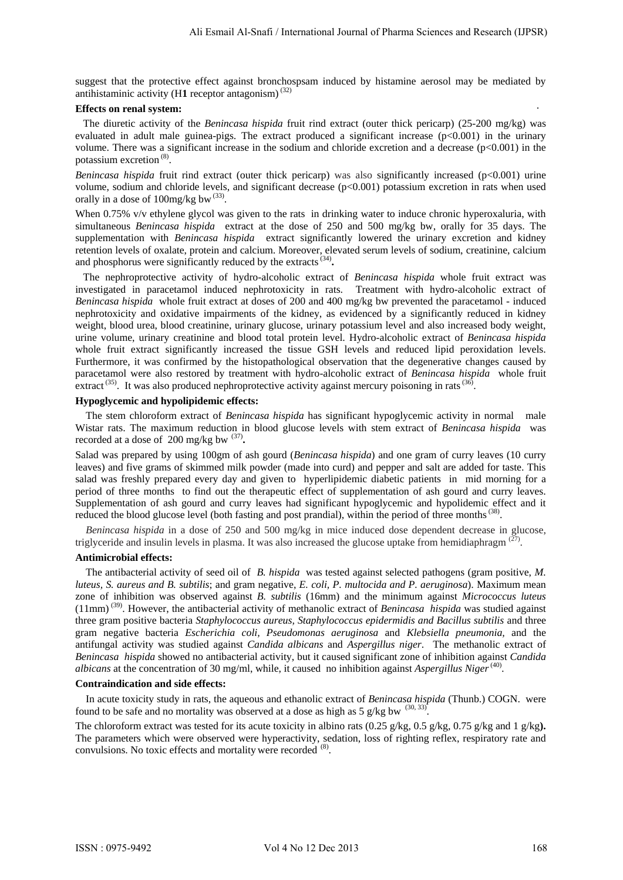suggest that the protective effect against bronchospsam induced by histamine aerosol may be mediated by antihistaminic activity (H1 receptor antagonism)<sup>(32)</sup>

## **Effects on renal system:**

 The diuretic activity of the *Benincasa hispida* fruit rind extract (outer thick pericarp) (25-200 mg/kg) was evaluated in adult male guinea-pigs. The extract produced a significant increase  $(p<0.001)$  in the urinary volume. There was a significant increase in the sodium and chloride excretion and a decrease (p<0.001) in the potassium excretion<sup>(8)</sup>.

*Benincasa hispida* fruit rind extract (outer thick pericarp) was also significantly increased (p<0.001) urine volume, sodium and chloride levels, and significant decrease (p<0.001) potassium excretion in rats when used orally in a dose of 100mg/kg bw<sup>(33)</sup>.

When 0.75% v/v ethylene glycol was given to the rats in drinking water to induce chronic hyperoxaluria, with simultaneous *Benincasa hispida* extract at the dose of 250 and 500 mg/kg bw, orally for 35 days. The supplementation with *Benincasa hispida* extract significantly lowered the urinary excretion and kidney retention levels of oxalate, protein and calcium. Moreover, elevated serum levels of sodium, creatinine, calcium and phosphorus were significantly reduced by the extracts<sup>(34)</sup>.

 The nephroprotective activity of hydro-alcoholic extract of *Benincasa hispida* whole fruit extract was investigated in paracetamol induced nephrotoxicity in rats. Treatment with hydro-alcoholic extract of *Benincasa hispida* whole fruit extract at doses of 200 and 400 mg/kg bw prevented the paracetamol - induced nephrotoxicity and oxidative impairments of the kidney, as evidenced by a significantly reduced in kidney weight, blood urea, blood creatinine, urinary glucose, urinary potassium level and also increased body weight, urine volume, urinary creatinine and blood total protein level. Hydro-alcoholic extract of *Benincasa hispida*  whole fruit extract significantly increased the tissue GSH levels and reduced lipid peroxidation levels. Furthermore, it was confirmed by the histopathological observation that the degenerative changes caused by paracetamol were also restored by treatment with hydro-alcoholic extract of *Benincasa hispida* whole fruit extract<sup>(35)</sup>. It was also produced nephroprotective activity against mercury poisoning in rats<sup>(36)</sup>.

#### **Hypoglycemic and hypolipidemic effects:**

 The stem chloroform extract of *Benincasa hispida* has significant hypoglycemic activity in normal male Wistar rats. The maximum reduction in blood glucose levels with stem extract of *Benincasa hispida* was recorded at a dose of 200 mg/kg bw<sup>(37)</sup>.

Salad was prepared by using 100gm of ash gourd (*Benincasa hispida*) and one gram of curry leaves (10 curry leaves) and five grams of skimmed milk powder (made into curd) and pepper and salt are added for taste. This salad was freshly prepared every day and given to hyperlipidemic diabetic patients in mid morning for a period of three months to find out the therapeutic effect of supplementation of ash gourd and curry leaves. Supplementation of ash gourd and curry leaves had significant hypoglycemic and hypolidemic effect and it reduced the blood glucose level (both fasting and post prandial), within the period of three months<sup>(38)</sup>.

 *Benincasa hispida* in a dose of 250 and 500 mg/kg in mice induced dose dependent decrease in glucose, triglyceride and insulin levels in plasma. It was also increased the glucose uptake from hemidiaphragm  $(27)$ .

### **Antimicrobial effects:**

 The antibacterial activity of seed oil of *B. hispida* was tested against selected pathogens (gram positive, *M. luteus, S. aureus and B. subtilis*; and gram negative, *E. coli, P. multocida and P. aeruginosa*). Maximum mean zone of inhibition was observed against *B. subtilis* (16mm) and the minimum against *Micrococcus luteus* (11mm)<sup>(39)</sup>. However, the antibacterial activity of methanolic extract of *Benincasa hispida* was studied against three gram positive bacteria *Staphylococcus aureus, Staphylococcus epidermidis and Bacillus subtilis* and three gram negative bacteria *Escherichia coli, Pseudomonas aeruginosa* and *Klebsiella pneumonia,* and the antifungal activity was studied against *Candida albicans* and *Aspergillus niger*. The methanolic extract of *Benincasa hispida* showed no antibacterial activity, but it caused significant zone of inhibition against *Candida albicans* at the concentration of 30 mg/ml, while, it caused no inhibition against *Aspergillus Niger*<sup>(40)</sup>.

#### **Contraindication and side effects:**

 In acute toxicity study in rats, the aqueous and ethanolic extract of *Benincasa hispida* (Thunb.) COGN. were found to be safe and no mortality was observed at a dose as high as  $5 \frac{\text{g}}{\text{kg}}$  bw  $\frac{(30, 33)}{2}$ *P*.

The chloroform extract was tested for its acute toxicity in albino rats (0.25 g/kg, 0.5 g/kg, 0.75 g/kg and 1 g/kg). The parameters which were observed were hyperactivity, sedation, loss of righting reflex, respiratory rate and convulsions. No toxic effects and mortality were recorded <sup>(8)</sup>.

.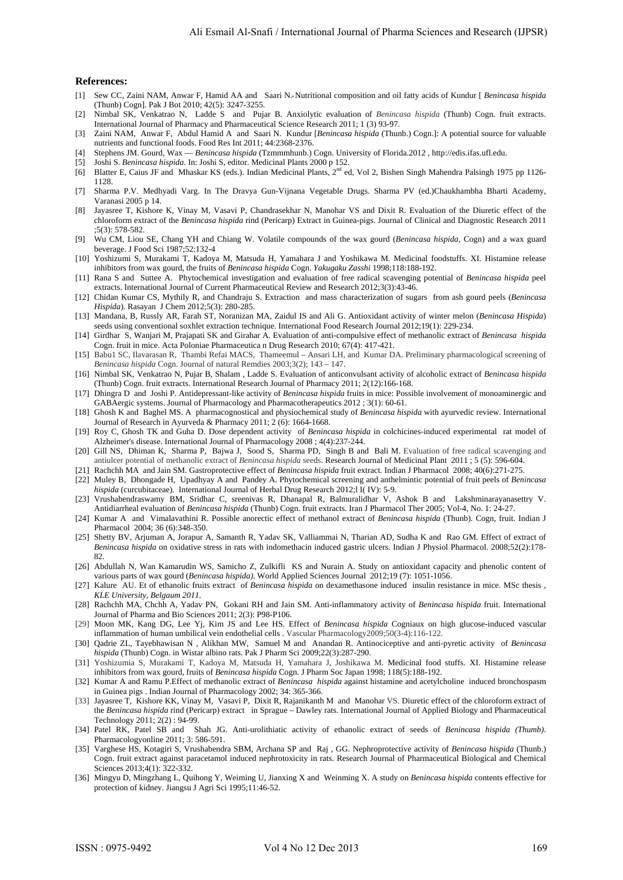#### **References:**

- [1] Sew CC, Zaini NAM, Anwar F, Hamid AA and Saari N. Nutritional composition and oil fatty acids of Kundur [ *Benincasa hispida* (Thunb) Cogn]. Pak J Bot 2010; 42(5): 3247-3255.
- [2] Nimbal SK, Venkatrao N, Ladde S and Pujar B. Anxiolytic evaluation of *Benincasa hispida* (Thunb) Cogn. fruit extracts. International Journal of Pharmacy and Pharmaceutical Science Research 2011; 1 (3) 93-97.
- [3] Zaini NAM, Anwar F, Abdul Hamid A and Saari N. Kundur [*Benincasa hispida* (Thunb.) Cogn.]: A potential source for valuable nutrients and functional foods. Food Res Int 2011; 44:2368-2376.
- [4] Stephens JM. Gourd, Wax *Benincasa hispida* (Tzmmmhunb.) Cogn. University of Florida.2012 , http://edis.ifas.ufl.edu.
- [5] Joshi S. *Benincasa hispida.* In: Joshi S, editor. Medicinal Plants 2000 p 152.
- [6] Blatter E, Caius JF and Mhaskar KS (eds.). Indian Medicinal Plants, 2<sup>nd</sup> ed, Vol 2, Bishen Singh Mahendra Palsingh 1975 pp 1126-1128.
- [7] Sharma P.V. Medhyadi Varg. In The Dravya Gun-Vijnana Vegetable Drugs. Sharma PV (ed.)Chaukhambha Bharti Academy, Varanasi 2005 p 14.
- [8] Jayasree T, Kishore K, Vinay M, Vasavi P, Chandrasekhar N, Manohar VS and Dixit R. Evaluation of the Diuretic effect of the chloroform extract of the *Benincasa hispida* rind (Pericarp) Extract in Guinea-pigs. Journal of Clinical and Diagnostic Research 2011 ;5(3): 578-582.
- [9] Wu CM, Liou SE, Chang YH and Chiang W. Volatile compounds of the wax gourd (*Benincasa hispida*, Cogn) and a wax guard beverage. J Food Sci 1987;52:132-4
- [10] Yoshizumi S, Murakami T, Kadoya M, Matsuda H, Yamahara J and Yoshikawa M. Medicinal foodstuffs. XI. Histamine release inhibitors from wax gourd, the fruits of *Benincasa hispida* Cogn. *Yakugaku Zasshi* 1998;118:188-192.
- [11] Rana S and Suttee A. Phytochemical investigation and evaluation of free radical scavenging potential of *Benincasa hispida* peel extracts. International Journal of Current Pharmaceutical Review and Research 2012;3(3):43-46.
- [12] Chidan Kumar CS, Mythily R, and Chandraju S. Extraction and mass characterization of sugars from ash gourd peels (*Benincasa Hispida*). Rasayan J Chem 2012;5(3): 280-285.
- [13] Mandana, B, Russly AR, Farah ST, Noranizan MA, Zaidul IS and Ali G. Antioxidant activity of winter melon (*Benincasa Hispida*) seeds using conventional soxhlet extraction technique. International Food Research Journal 2012;19(1): 229-234.
- [14] Girdhar S, Wanjari M, Prajapati SK and Girahar A. Evaluation of anti-compulsive effect of methanolic extract of *Benincasa hispida* Cogn. fruit in mice. Acta Poloniae Pharmaceutica n Drug Research 2010; 67(4): 417-421.
- [15] Babu1 SC, Ilavarasan R, Thambi Refai MACS, Thameemul Ansari LH, and Kumar DA. Preliminary pharmacological screening of *Benincasa hispida* Cogn. Journal of natural Remdies 2003;3(2); 143 – 147.
- [16] Nimbal SK, Venkatrao N, Pujar B, Shalam , Ladde S. Evaluation of anticonvulsant activity of alcoholic extract of *Benincasa hispida* (Thunb) Cogn. fruit extracts. International Research Journal of Pharmacy 2011; 2(12):166-168.
- [17] *0T*Dhingra D and Joshi P. Antidepressant-like activity of *Benincasa hispida* fruits in mice: Possible involvement of monoaminergic and GABAergic systems. Journal of Pharmacology and Pharmacotherapeutics 2012 ; 3(1): 60-61.
- [18] Ghosh K and Baghel MS. A pharmacognostical and physiochemical study of *Benincasa hispida* with ayurvedic review. International Journal of Research in Ayurveda & Pharmacy 2011; 2 (6): 1664-1668.
- [19] Roy C, Ghosh TK and Guha D. Dose dependent activity of *Benincasa hispida* in colchicines-induced experimental rat model of Alzheimer's disease. International Journal of Pharmacology 2008 ; 4(4):237-244.
- [20] [Gill](http://ascidatabase.com/author.php?author=N.S.&last=Gill) NS, [Dhiman](http://ascidatabase.com/author.php?author=K.&last=Dhiman) K, [Sharma](http://ascidatabase.com/author.php?author=P.&last=Sharma) P, [Bajwa](http://ascidatabase.com/author.php?author=J.&last=Bajwa) J, [Sood](http://ascidatabase.com/author.php?author=S.&last=Sood) S, [Sharma](http://ascidatabase.com/author.php?author=P.D.&last=Sharma) PD, [Singh](http://ascidatabase.com/author.php?author=B.&last=Singh) B and [Bali](http://ascidatabase.com/author.php?author=M.&last=Bali) M. Evaluation of free radical scavenging and antiulcer potential of methanolic extract of *Benincasa hispida* seeds. [Research Journal of Medicinal Plant](http://scialert.net/jindex.php?issn=1819-3455) 2011 ; 5 (5): 596-604.
- [21] Rachchh MA and Jain SM. Gastroprotective effect of *Benincasa hispida* fruit extract. Indian J Pharmacol 2008; 40(6):271-275.
- [22] Muley B, Dhongade H, Upadhyay A and Pandey A. Phytochemical screening and anthelmintic potential of fruit peels of *Benincasa hispida* (curcubitaceae). International Journal of Herbal Drug Research 2012;l I( IV): 5-9.
- [23] Vrushabendraswamy BM, Sridhar C, sreenivas R, Dhanapal R, Balmuralidhar V, Ashok B and Lakshminarayanasettry V. Antidiarrheal evaluation of *Benincasa hispida* (Thunb) Cogn. fruit extracts. Iran J Pharmacol Ther 2005; Vol-4, No. 1: 24-27.
- [24] Kumar A and Vimalavathini R. Possible anorectic effect of methanol extract of *Benincasa hispida* (Thunb). Cogn, fruit. Indian J Pharmacol 2004; 36 (6):348-350.
- [25] [Shetty BV,](http://www.ncbi.nlm.nih.gov/pubmed?term=Shetty%20BV%5BAuthor%5D&cauthor=true&cauthor_uid=19130862) [Arjuman A,](http://www.ncbi.nlm.nih.gov/pubmed?term=Arjuman%20A%5BAuthor%5D&cauthor=true&cauthor_uid=19130862) [Jorapur A,](http://www.ncbi.nlm.nih.gov/pubmed?term=Jorapur%20A%5BAuthor%5D&cauthor=true&cauthor_uid=19130862) [Samanth R,](http://www.ncbi.nlm.nih.gov/pubmed?term=Samanth%20R%5BAuthor%5D&cauthor=true&cauthor_uid=19130862) [Yadav SK,](http://www.ncbi.nlm.nih.gov/pubmed?term=Yadav%20SK%5BAuthor%5D&cauthor=true&cauthor_uid=19130862) [Valliammai N,](http://www.ncbi.nlm.nih.gov/pubmed?term=Valliammai%20N%5BAuthor%5D&cauthor=true&cauthor_uid=19130862) [Tharian AD,](http://www.ncbi.nlm.nih.gov/pubmed?term=Tharian%20AD%5BAuthor%5D&cauthor=true&cauthor_uid=19130862) [Sudha K](http://www.ncbi.nlm.nih.gov/pubmed?term=Sudha%20K%5BAuthor%5D&cauthor=true&cauthor_uid=19130862) and [Rao GM.](http://www.ncbi.nlm.nih.gov/pubmed?term=Rao%20GM%5BAuthor%5D&cauthor=true&cauthor_uid=19130862) Effect of extract of *Benincasa hispida* on oxidative stress in rats with indomethacin induced gastric ulcers. [Indian J Physiol Pharmacol.](http://www.ncbi.nlm.nih.gov/pubmed/19130862##) 2008;52(2):178- 82.
- [26] Abdullah N, Wan Kamarudin WS, Samicho Z, Zulkifli KS and Nurain A. Study on antioxidant capacity and phenolic content of various parts of wax gourd (*Benincasa hispida)*. World Applied Sciences Journal 2012;19 (7): 1051-1056.
- [27] Kalure AU. Et of ethanolic fruits extract of *Benincasa hispida* on dexamethasone induced insulin resistance in mice. MSc thesis , *KLE University, Belgaum 2011.*
- [28] Rachchh MA, Chchh A, Yadav PN, Gokani RH and Jain SM. Anti-inflammatory activity of *Benincasa hispida* fruit. International Journal of Pharma and Bio Sciences 2011; 2(3): P98-P106.
- [29] Moon MK, Kang DG, Lee Yj, Kim JS and Lee HS. Effect of *Benincasa hispida* Cogniaux on high glucose-induced vascular inflammation of human umbilical vein endothelial cells . [Vascular Pharmacology2](http://www.sciencedirect.com/science/journal/15371891)009;50(3-4):116-122.
- [30] Qadrie ZL, Tayebhawisan N , Alikhan MW, Samuel M and Anandan R. Antinociceptive and anti-pyretic activity of *Benincasa hispida* (Thunb) Cogn. in Wistar albino rats. Pak J Pharm Sci 2009;22(3):287-290.
- [31] Yoshizumia S, Murakami T, Kadoya M, Matsuda H, Yamahara J, Joshikawa M. Medicinal food stuffs. XI. Histamine release inhibitors from wax gourd, fruits of *Benincasa hispida* Cogn. J Pharm Soc Japan 1998; 118(5):188-192.
- [32] Kumar A and Ramu P.Effect of methanolic extract of *Benincasa hispida* against histamine and acetylcholine induced bronchospasm in Guinea pigs . Indian Journal of Pharmacology 2002; 34: 365-366.
- [33] Jayasree T, Kishore KK, Vinay M, Vasavi P, Dixit R, Rajanikanth M and Manohar VS. Diuretic effect of the chloroform extract of the *Benincasa hispida* rind (Pericarp) extract in Sprague – Dawley rats. International Journal of Applied Biology and Pharmaceutical Technology 2011; 2(2) : 94-99.
- [34] Patel RK, Patel SB and Shah JG. Anti-urolithiatic activity of ethanolic extract of seeds of *Benincasa hispida (Thumb)*. Pharmacologyonline 2011; 3: 586-591.
- [35] Varghese HS, Kotagiri S, Vrushabendra SBM, Archana SP and Raj , GG. Nephroprotective activity of *Benincasa hispida* (Thunb.) Cogn. fruit extract against paracetamol induced nephrotoxicity in rats. Research Journal of Pharmaceutical Biological and Chemical Sciences 2013;4(1): 322-332.
- [36] Mingyu D, Mingzhang L, Quihong Y, Weiming U, Jianxing X and Weinming X. A study on *Benincasa hispida* contents effective for protection of kidney. Jiangsu J Agri Sci 1995;11:46-52.